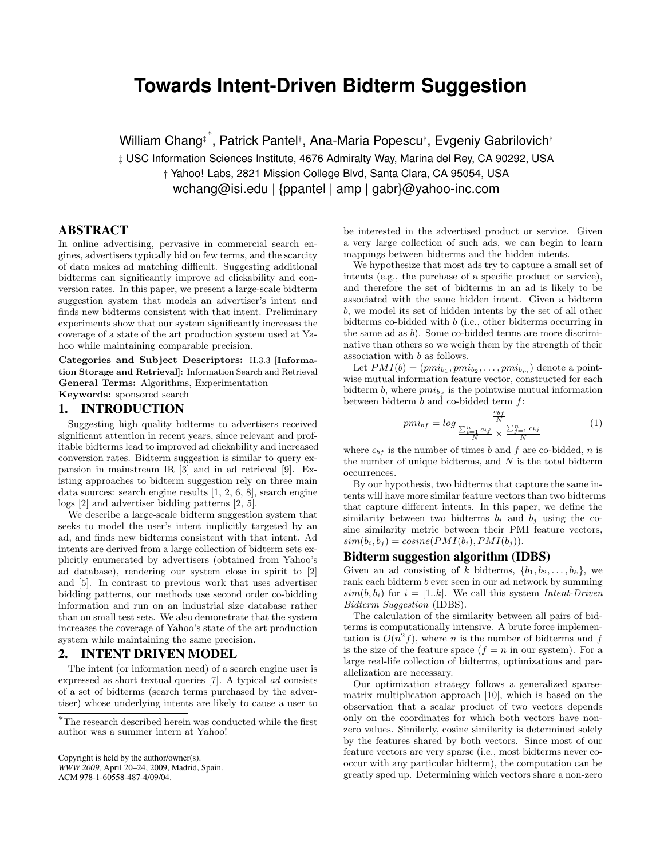# **Towards Intent-Driven Bidterm Suggestion**

William Chang‡ ∗ , Patrick Pantel† , Ana-Maria Popescu† , Evgeniy Gabrilovich†

‡ USC Information Sciences Institute, 4676 Admiralty Way, Marina del Rey, CA 90292, USA † Yahoo! Labs, 2821 Mission College Blvd, Santa Clara, CA 95054, USA wchang@isi.edu | {ppantel | amp | gabr}@yahoo-inc.com

# ABSTRACT

In online advertising, pervasive in commercial search engines, advertisers typically bid on few terms, and the scarcity of data makes ad matching difficult. Suggesting additional bidterms can significantly improve ad clickability and conversion rates. In this paper, we present a large-scale bidterm suggestion system that models an advertiser's intent and finds new bidterms consistent with that intent. Preliminary experiments show that our system significantly increases the coverage of a state of the art production system used at Yahoo while maintaining comparable precision.

Categories and Subject Descriptors: H.3.3 [Information Storage and Retrieval]: Information Search and Retrieval General Terms: Algorithms, Experimentation Keywords: sponsored search

## 1. INTRODUCTION

Suggesting high quality bidterms to advertisers received significant attention in recent years, since relevant and profitable bidterms lead to improved ad clickability and increased conversion rates. Bidterm suggestion is similar to query expansion in mainstream IR [3] and in ad retrieval [9]. Existing approaches to bidterm suggestion rely on three main data sources: search engine results [1, 2, 6, 8], search engine logs [2] and advertiser bidding patterns [2, 5].

We describe a large-scale bidterm suggestion system that seeks to model the user's intent implicitly targeted by an ad, and finds new bidterms consistent with that intent. Ad intents are derived from a large collection of bidterm sets explicitly enumerated by advertisers (obtained from Yahoo's ad database), rendering our system close in spirit to [2] and [5]. In contrast to previous work that uses advertiser bidding patterns, our methods use second order co-bidding information and run on an industrial size database rather than on small test sets. We also demonstrate that the system increases the coverage of Yahoo's state of the art production system while maintaining the same precision.

# 2. INTENT DRIVEN MODEL

The intent (or information need) of a search engine user is expressed as short textual queries [7]. A typical ad consists of a set of bidterms (search terms purchased by the advertiser) whose underlying intents are likely to cause a user to

Copyright is held by the author/owner(s). *WWW 2009,* April 20–24, 2009, Madrid, Spain. ACM 978-1-60558-487-4/09/04.

be interested in the advertised product or service. Given a very large collection of such ads, we can begin to learn mappings between bidterms and the hidden intents.

We hypothesize that most ads try to capture a small set of intents (e.g., the purchase of a specific product or service), and therefore the set of bidterms in an ad is likely to be associated with the same hidden intent. Given a bidterm b, we model its set of hidden intents by the set of all other bidterms co-bidded with b (i.e., other bidterms occurring in the same ad as b). Some co-bidded terms are more discriminative than others so we weigh them by the strength of their association with b as follows.

Let  $PMI(b) = (pmi_{b_1}, pmi_{b_2}, \ldots, pmi_{b_m})$  denote a pointwise mutual information feature vector, constructed for each bidterm b, where  $pmi_{b_f}$  is the pointwise mutual information between bidterm  $b$  and co-bidded term  $f$ :

$$
pmi_{bf} = log \frac{\frac{c_{bf}}{N}}{\frac{\sum_{i=1}^{n} c_{if}}{N} \times \frac{\sum_{j=1}^{n} c_{bj}}{N}}
$$
(1)

where  $c_{bf}$  is the number of times b and f are co-bidded, n is the number of unique bidterms, and  $N$  is the total bidterm occurrences.

By our hypothesis, two bidterms that capture the same intents will have more similar feature vectors than two bidterms that capture different intents. In this paper, we define the similarity between two bidterms  $b_i$  and  $b_j$  using the cosine similarity metric between their PMI feature vectors,  $sim(b_i, b_j) = cosine(PMI(b_i), PMI(b_j)).$ 

#### Bidterm suggestion algorithm (IDBS)

Given an ad consisting of k bidterms,  $\{b_1, b_2, \ldots, b_k\}$ , we rank each bidterm b ever seen in our ad network by summing  $sim(b, b_i)$  for  $i = [1..k]$ . We call this system Intent-Driven Bidterm Suggestion (IDBS).

The calculation of the similarity between all pairs of bidterms is computationally intensive. A brute force implementation is  $O(n^2 f)$ , where *n* is the number of bidterms and f is the size of the feature space  $(f = n \text{ in our system})$ . For a large real-life collection of bidterms, optimizations and parallelization are necessary.

Our optimization strategy follows a generalized sparsematrix multiplication approach [10], which is based on the observation that a scalar product of two vectors depends only on the coordinates for which both vectors have nonzero values. Similarly, cosine similarity is determined solely by the features shared by both vectors. Since most of our feature vectors are very sparse (i.e., most bidterms never cooccur with any particular bidterm), the computation can be greatly sped up. Determining which vectors share a non-zero

<sup>∗</sup>The research described herein was conducted while the first author was a summer intern at Yahoo!